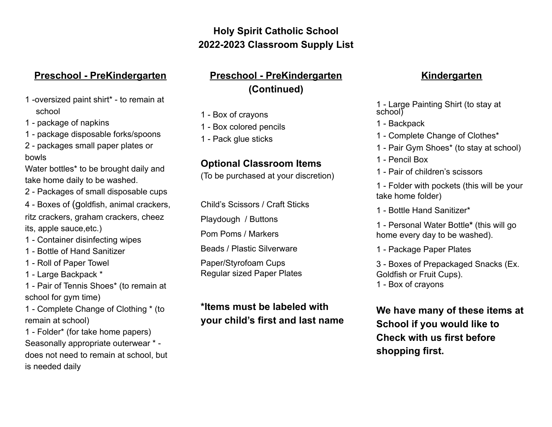## **Holy Spirit Catholic School 2022-2023 Classroom Supply List**

### **Preschool - PreKindergarten**

- 1 -oversized paint shirt\* to remain at school
- 1 package of napkins
- 1 package disposable forks/spoons
- 2 packages small paper plates or bowls

Water bottles<sup>\*</sup> to be brought daily and take home daily to be washed.

- 2 Packages of small disposable cups
- 4 Boxes of (goldfish, animal crackers, ritz crackers, graham crackers, cheez its, apple sauce,etc.)
- 1 Container disinfecting wipes
- 1 Bottle of Hand Sanitizer
- 1 Roll of Paper Towel
- 1 Large Backpack \*
- 1 Pair of Tennis Shoes\* (to remain at school for gym time)
- 1 Complete Change of Clothing \* (to remain at school)
- 1 Folder\* (for take home papers) Seasonally appropriate outerwear \* does not need to remain at school, but is needed daily

## **Preschool - PreKindergarten (Continued)**

- 1 Box of crayons
- 1 Box colored pencils
- 1 Pack glue sticks

### **Optional Classroom Items**

(To be purchased at your discretion)

Child's Scissors / Craft Sticks

Playdough / Buttons

Pom Poms / Markers

Beads / Plastic Silverware

Paper/Styrofoam Cups Regular sized Paper Plates

# **\*Items must be labeled with your child's first and last name**

#### **Kindergarten**

- 1 Large Painting Shirt (to stay at school<sup>y</sup>
- 1 Backpack
- 1 Complete Change of Clothes\*
- 1 Pair Gym Shoes\* (to stay at school)
- 1 Pencil Box
- 1 Pair of children's scissors

1 - Folder with pockets (this will be your take home folder)

1 - Bottle Hand Sanitizer\*

1 - Personal Water Bottle**\*** (this will go home every day to be washed).

1 - Package Paper Plates

3 - Boxes of Prepackaged Snacks (Ex. Goldfish or Fruit Cups). 1 - Box of crayons

**We have many of these items at School if you would like to Check with us first before shopping first.**